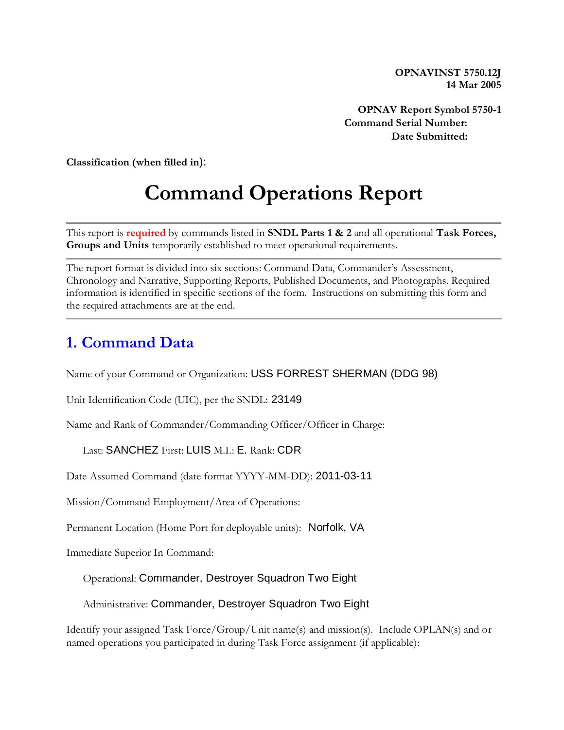**OPNAVINST 5750.12J 14 Mar 2005**

**OPNAV Report Symbol 5750-1 Command Serial Number: Date Submitted:** 

**Classification (when filled in**):

# **Command Operations Report**

This report is **required** by commands listed in **SNDL Parts 1 & 2** and all operational **Task Forces, Groups and Units** temporarily established to meet operational requirements.

The report format is divided into six sections: Command Data, Commander's Assessment, Chronology and Narrative, Supporting Reports, Published Documents, and Photographs. Required information is identified in specific sections of the form. Instructions on submitting this form and the required attachments are at the end.

#### **1. Command Data**

Name of your Command or Organization: USS FORREST SHERMAN (DDG 98)

Unit Identification Code (UIC), per the SNDL: 23149

Name and Rank of Commander/Commanding Officer/Officer in Charge:

Last: SANCHEZ First: LUIS M.I.: E. Rank: CDR

Date Assumed Command (date format YYYY-MM-DD): 2011-03-11

Mission/Command Employment/Area of Operations:

Permanent Location (Home Port for deployable units): Norfolk, VA

Immediate Superior In Command:

Operational: Commander, Destroyer Squadron Two Eight

Administrative: Commander, Destroyer Squadron Two Eight

Identify your assigned Task Force/Group/Unit name(s) and mission(s). Include OPLAN(s) and or named operations you participated in during Task Force assignment (if applicable):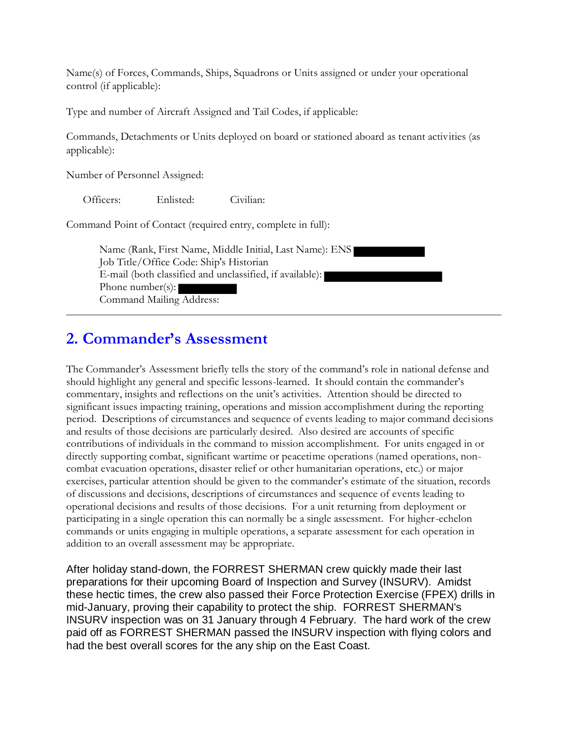Name(s) of Forces, Commands, Ships, Squadrons or Units assigned or under your operational control (if applicable):

Type and number of Aircraft Assigned and Tail Codes, if applicable:

Commands, Detachments or Units deployed on board or stationed aboard as tenant activities (as applicable):

Number of Personnel Assigned:

Officers: Enlisted: Civilian:

Command Point of Contact (required entry, complete in full):

Name (Rank, First Name, Middle Initial, Last Name): ENS Job Title/Office Code: Ship's Historian E-mail (both classified and unclassified, if available): Phone number(s): Command Mailing Address:

#### **2. Commander's Assessment**

The Commander's Assessment briefly tells the story of the command's role in national defense and should highlight any general and specific lessons-learned. It should contain the commander's commentary, insights and reflections on the unit's activities. Attention should be directed to significant issues impacting training, operations and mission accomplishment during the reporting period. Descriptions of circumstances and sequence of events leading to major command decisions and results of those decisions are particularly desired. Also desired are accounts of specific contributions of individuals in the command to mission accomplishment. For units engaged in or directly supporting combat, significant wartime or peacetime operations (named operations, noncombat evacuation operations, disaster relief or other humanitarian operations, etc.) or major exercises, particular attention should be given to the commander's estimate of the situation, records of discussions and decisions, descriptions of circumstances and sequence of events leading to operational decisions and results of those decisions. For a unit returning from deployment or participating in a single operation this can normally be a single assessment. For higher-echelon commands or units engaging in multiple operations, a separate assessment for each operation in addition to an overall assessment may be appropriate.

After holiday stand-down, the FORREST SHERMAN crew quickly made their last preparations for their upcoming Board of Inspection and Survey (INSURV). Amidst these hectic times, the crew also passed their Force Protection Exercise (FPEX) drills in mid-January, proving their capability to protect the ship. FORREST SHERMAN's INSURV inspection was on 31 January through 4 February. The hard work of the crew paid off as FORREST SHERMAN passed the INSURV inspection with flying colors and had the best overall scores for the any ship on the East Coast.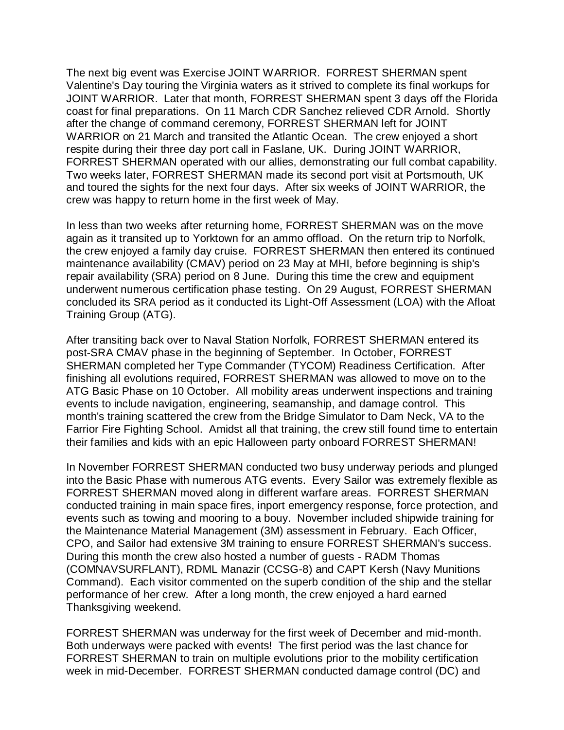The next big event was Exercise JOINT WARRIOR. FORREST SHERMAN spent Valentine's Day touring the Virginia waters as it strived to complete its final workups for JOINT WARRIOR. Later that month, FORREST SHERMAN spent 3 days off the Florida coast for final preparations. On 11 March CDR Sanchez relieved CDR Arnold. Shortly after the change of command ceremony, FORREST SHERMAN left for JOINT WARRIOR on 21 March and transited the Atlantic Ocean. The crew enjoyed a short respite during their three day port call in Faslane, UK. During JOINT WARRIOR, FORREST SHERMAN operated with our allies, demonstrating our full combat capability. Two weeks later, FORREST SHERMAN made its second port visit at Portsmouth, UK and toured the sights for the next four days. After six weeks of JOINT WARRIOR, the crew was happy to return home in the first week of May.

In less than two weeks after returning home, FORREST SHERMAN was on the move again as it transited up to Yorktown for an ammo offload. On the return trip to Norfolk, the crew enjoyed a family day cruise. FORREST SHERMAN then entered its continued maintenance availability (CMAV) period on 23 May at MHI, before beginning is ship's repair availability (SRA) period on 8 June. During this time the crew and equipment underwent numerous certification phase testing. On 29 August, FORREST SHERMAN concluded its SRA period as it conducted its Light-Off Assessment (LOA) with the Afloat Training Group (ATG).

After transiting back over to Naval Station Norfolk, FORREST SHERMAN entered its post-SRA CMAV phase in the beginning of September. In October, FORREST SHERMAN completed her Type Commander (TYCOM) Readiness Certification. After finishing all evolutions required, FORREST SHERMAN was allowed to move on to the ATG Basic Phase on 10 October. All mobility areas underwent inspections and training events to include navigation, engineering, seamanship, and damage control. This month's training scattered the crew from the Bridge Simulator to Dam Neck, VA to the Farrior Fire Fighting School. Amidst all that training, the crew still found time to entertain their families and kids with an epic Halloween party onboard FORREST SHERMAN!

In November FORREST SHERMAN conducted two busy underway periods and plunged into the Basic Phase with numerous ATG events. Every Sailor was extremely flexible as FORREST SHERMAN moved along in different warfare areas. FORREST SHERMAN conducted training in main space fires, inport emergency response, force protection, and events such as towing and mooring to a bouy. November included shipwide training for the Maintenance Material Management (3M) assessment in February. Each Officer, CPO, and Sailor had extensive 3M training to ensure FORREST SHERMAN's success. During this month the crew also hosted a number of guests - RADM Thomas (COMNAVSURFLANT), RDML Manazir (CCSG-8) and CAPT Kersh (Navy Munitions Command). Each visitor commented on the superb condition of the ship and the stellar performance of her crew. After a long month, the crew enjoyed a hard earned Thanksgiving weekend.

FORREST SHERMAN was underway for the first week of December and mid-month. Both underways were packed with events! The first period was the last chance for FORREST SHERMAN to train on multiple evolutions prior to the mobility certification week in mid-December. FORREST SHERMAN conducted damage control (DC) and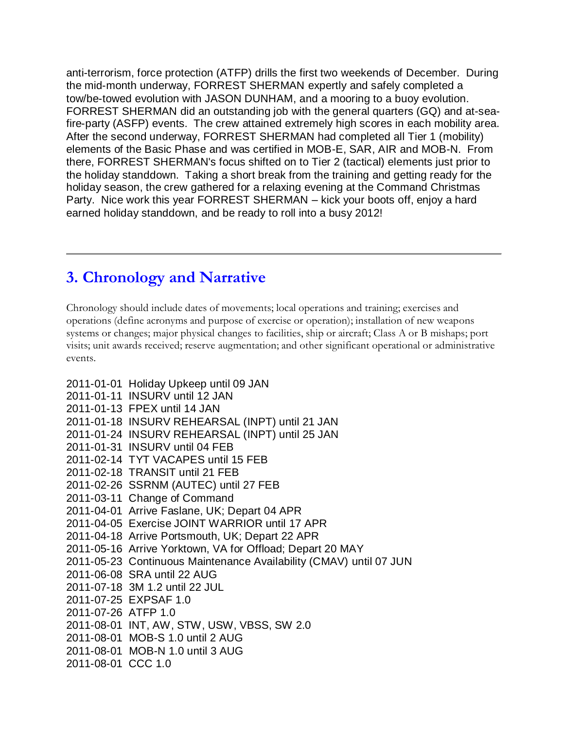anti-terrorism, force protection (ATFP) drills the first two weekends of December. During the mid-month underway, FORREST SHERMAN expertly and safely completed a tow/be-towed evolution with JASON DUNHAM, and a mooring to a buoy evolution. FORREST SHERMAN did an outstanding job with the general quarters (GQ) and at-seafire-party (ASFP) events. The crew attained extremely high scores in each mobility area. After the second underway, FORREST SHERMAN had completed all Tier 1 (mobility) elements of the Basic Phase and was certified in MOB-E, SAR, AIR and MOB-N. From there, FORREST SHERMAN's focus shifted on to Tier 2 (tactical) elements just prior to the holiday standdown. Taking a short break from the training and getting ready for the holiday season, the crew gathered for a relaxing evening at the Command Christmas Party. Nice work this year FORREST SHERMAN – kick your boots off, enjoy a hard earned holiday standdown, and be ready to roll into a busy 2012!

## **3. Chronology and Narrative**

Chronology should include dates of movements; local operations and training; exercises and operations (define acronyms and purpose of exercise or operation); installation of new weapons systems or changes; major physical changes to facilities, ship or aircraft; Class A or B mishaps; port visits; unit awards received; reserve augmentation; and other significant operational or administrative events.

- 2011-01-01 Holiday Upkeep until 09 JAN 2011-01-11 INSURV until 12 JAN 2011-01-13 FPEX until 14 JAN 2011-01-18 INSURV REHEARSAL (INPT) until 21 JAN 2011-01-24 INSURV REHEARSAL (INPT) until 25 JAN 2011-01-31 INSURV until 04 FEB 2011-02-14 TYT VACAPES until 15 FEB 2011-02-18 TRANSIT until 21 FEB 2011-02-26 SSRNM (AUTEC) until 27 FEB 2011-03-11 Change of Command 2011-04-01 Arrive Faslane, UK; Depart 04 APR 2011-04-05 Exercise JOINT WARRIOR until 17 APR 2011-04-18 Arrive Portsmouth, UK; Depart 22 APR 2011-05-16 Arrive Yorktown, VA for Offload; Depart 20 MAY 2011-05-23 Continuous Maintenance Availability (CMAV) until 07 JUN 2011-06-08 SRA until 22 AUG 2011-07-18 3M 1.2 until 22 JUL 2011-07-25 EXPSAF 1.0 2011-07-26 ATFP 1.0 2011-08-01 INT, AW, STW, USW, VBSS, SW 2.0 2011-08-01 MOB-S 1.0 until 2 AUG
- 2011-08-01 MOB-N 1.0 until 3 AUG
- 2011-08-01 CCC 1.0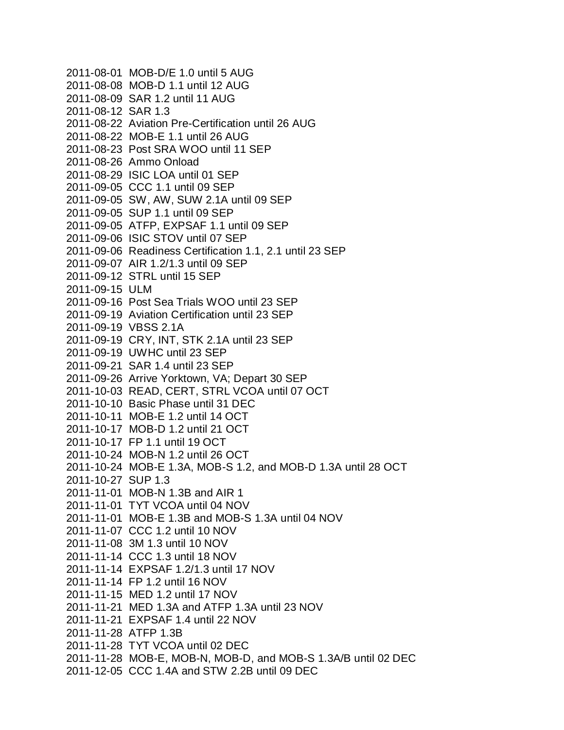2011-08-01 MOB-D/E 1.0 until 5 AUG 2011-08-08 MOB-D 1.1 until 12 AUG 2011-08-09 SAR 1.2 until 11 AUG 2011-08-12 SAR 1.3 2011-08-22 Aviation Pre-Certification until 26 AUG 2011-08-22 MOB-E 1.1 until 26 AUG 2011-08-23 Post SRA WOO until 11 SEP 2011-08-26 Ammo Onload 2011-08-29 ISIC LOA until 01 SEP 2011-09-05 CCC 1.1 until 09 SEP 2011-09-05 SW, AW, SUW 2.1A until 09 SEP 2011-09-05 SUP 1.1 until 09 SEP 2011-09-05 ATFP, EXPSAF 1.1 until 09 SEP 2011-09-06 ISIC STOV until 07 SEP 2011-09-06 Readiness Certification 1.1, 2.1 until 23 SEP 2011-09-07 AIR 1.2/1.3 until 09 SEP 2011-09-12 STRL until 15 SEP 2011-09-15 ULM 2011-09-16 Post Sea Trials WOO until 23 SEP 2011-09-19 Aviation Certification until 23 SEP 2011-09-19 VBSS 2.1A 2011-09-19 CRY, INT, STK 2.1A until 23 SEP 2011-09-19 UWHC until 23 SEP 2011-09-21 SAR 1.4 until 23 SEP 2011-09-26 Arrive Yorktown, VA; Depart 30 SEP 2011-10-03 READ, CERT, STRL VCOA until 07 OCT 2011-10-10 Basic Phase until 31 DEC 2011-10-11 MOB-E 1.2 until 14 OCT 2011-10-17 MOB-D 1.2 until 21 OCT 2011-10-17 FP 1.1 until 19 OCT 2011-10-24 MOB-N 1.2 until 26 OCT 2011-10-24 MOB-E 1.3A, MOB-S 1.2, and MOB-D 1.3A until 28 OCT 2011-10-27 SUP 1.3 2011-11-01 MOB-N 1.3B and AIR 1 2011-11-01 TYT VCOA until 04 NOV 2011-11-01 MOB-E 1.3B and MOB-S 1.3A until 04 NOV 2011-11-07 CCC 1.2 until 10 NOV 2011-11-08 3M 1.3 until 10 NOV 2011-11-14 CCC 1.3 until 18 NOV 2011-11-14 EXPSAF 1.2/1.3 until 17 NOV 2011-11-14 FP 1.2 until 16 NOV 2011-11-15 MED 1.2 until 17 NOV 2011-11-21 MED 1.3A and ATFP 1.3A until 23 NOV 2011-11-21 EXPSAF 1.4 until 22 NOV 2011-11-28 ATFP 1.3B 2011-11-28 TYT VCOA until 02 DEC 2011-11-28 MOB-E, MOB-N, MOB-D, and MOB-S 1.3A/B until 02 DEC 2011-12-05 CCC 1.4A and STW 2.2B until 09 DEC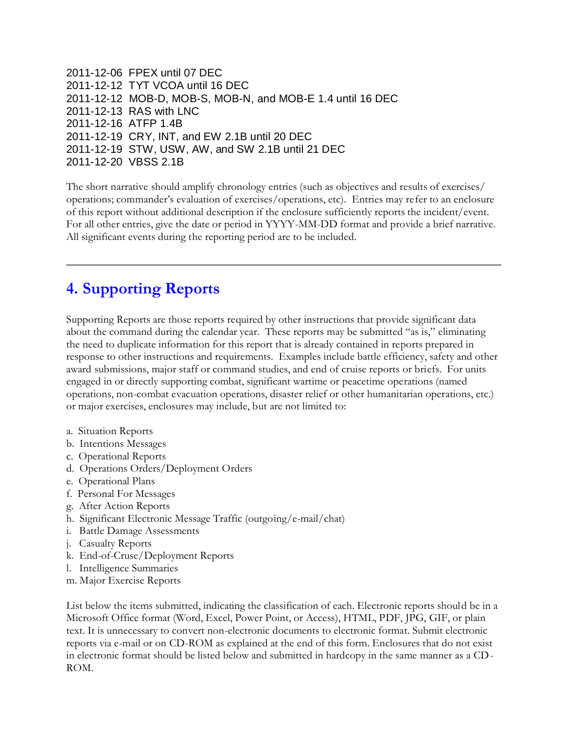2011-12-06 FPEX until 07 DEC 2011-12-12 TYT VCOA until 16 DEC 2011-12-12 MOB-D, MOB-S, MOB-N, and MOB-E 1.4 until 16 DEC 2011-12-13 RAS with LNC 2011-12-16 ATFP 1.4B 2011-12-19 CRY, INT, and EW 2.1B until 20 DEC 2011-12-19 STW, USW, AW, and SW 2.1B until 21 DEC 2011-12-20 VBSS 2.1B

The short narrative should amplify chronology entries (such as objectives and results of exercises/ operations; commander's evaluation of exercises/operations, etc). Entries may refer to an enclosure of this report without additional description if the enclosure sufficiently reports the incident/event. For all other entries, give the date or period in YYYY-MM-DD format and provide a brief narrative. All significant events during the reporting period are to be included.

### **4. Supporting Reports**

Supporting Reports are those reports required by other instructions that provide significant data about the command during the calendar year. These reports may be submitted "as is," eliminating the need to duplicate information for this report that is already contained in reports prepared in response to other instructions and requirements. Examples include battle efficiency, safety and other award submissions, major staff or command studies, and end of cruise reports or briefs. For units engaged in or directly supporting combat, significant wartime or peacetime operations (named operations, non-combat evacuation operations, disaster relief or other humanitarian operations, etc.) or major exercises, enclosures may include, but are not limited to:

- a. Situation Reports
- b. Intentions Messages
- c. Operational Reports
- d. Operations Orders/Deployment Orders
- e. Operational Plans
- f. Personal For Messages
- g. After Action Reports
- h. Significant Electronic Message Traffic (outgoing/e-mail/chat)
- i. Battle Damage Assessments
- j. Casualty Reports
- k. End-of-Cruse/Deployment Reports
- l. Intelligence Summaries
- m. Major Exercise Reports

List below the items submitted, indicating the classification of each. Electronic reports should be in a Microsoft Office format (Word, Excel, Power Point, or Access), HTML, PDF, JPG, GIF, or plain text. It is unnecessary to convert non-electronic documents to electronic format. Submit electronic reports via e-mail or on CD-ROM as explained at the end of this form. Enclosures that do not exist in electronic format should be listed below and submitted in hardcopy in the same manner as a CD-ROM.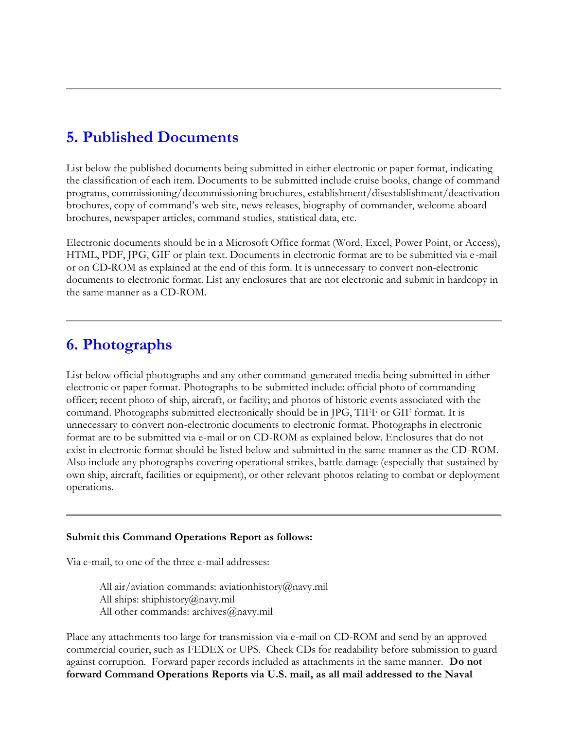#### **5. Published Documents**

List below the published documents being submitted in either electronic or paper format, indicating the classification of each item. Documents to be submitted include cruise books, change of command programs, commissioning/decommissioning brochures, establishment/disestablishment/deactivation brochures, copy of command's web site, news releases, biography of commander, welcome aboard brochures, newspaper articles, command studies, statistical data, etc.

Electronic documents should be in a Microsoft Office format (Word, Excel, Power Point, or Access), HTML, PDF, JPG, GIF or plain text. Documents in electronic format are to be submitted via e -mail or on CD-ROM as explained at the end of this form. It is unnecessary to convert non-electronic documents to electronic format. List any enclosures that are not electronic and submit in hardcopy in the same manner as a CD-ROM.

#### **6. Photographs**

List below official photographs and any other command-generated media being submitted in either electronic or paper format. Photographs to be submitted include: official photo of commanding officer; recent photo of ship, aircraft, or facility; and photos of historic events associated with the command. Photographs submitted electronically should be in JPG, TIFF or GIF format. It is unnecessary to convert non-electronic documents to electronic format. Photographs in electronic format are to be submitted via e-mail or on CD-ROM as explained below. Enclosures that do not exist in electronic format should be listed below and submitted in the same manner as the CD-ROM. Also include any photographs covering operational strikes, battle damage (especially that sustained by own ship, aircraft, facilities or equipment), or other relevant photos relating to combat or deployment operations.

#### **Submit this Command Operations Report as follows:**

Via e-mail, to one of the three e-mail addresses:

All air/aviation commands: aviationhistory@navy.mil All ships: shiphistory@navy.mil All other commands: archives@navy.mil

Place any attachments too large for transmission via e-mail on CD-ROM and send by an approved commercial courier, such as FEDEX or UPS. Check CDs for readability before submission to guard against corruption. Forward paper records included as attachments in the same manner. **Do not forward Command Operations Reports via U.S. mail, as all mail addressed to the Naval**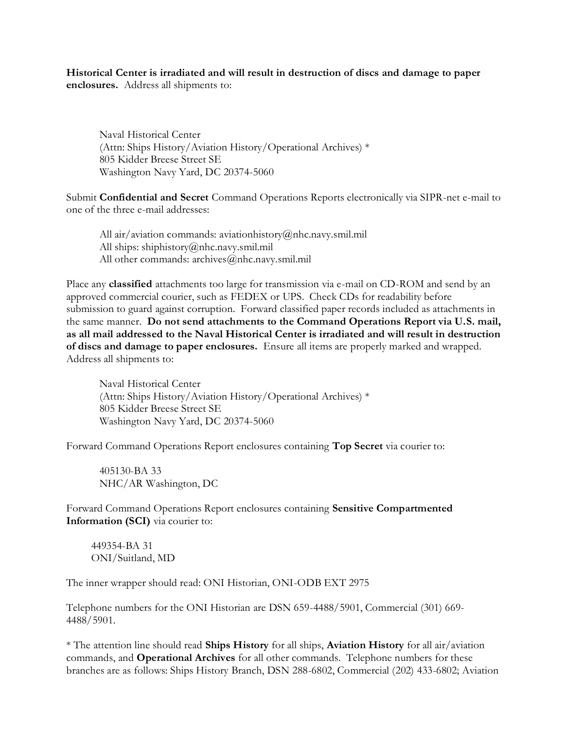**Historical Center is irradiated and will result in destruction of discs and damage to paper enclosures.** Address all shipments to:

Naval Historical Center (Attn: Ships History/Aviation History/Operational Archives) \* 805 Kidder Breese Street SE Washington Navy Yard, DC 20374-5060

Submit **Confidential and Secret** Command Operations Reports electronically via SIPR-net e-mail to one of the three e-mail addresses:

All air/aviation commands: aviationhistory@nhc.navy.smil.mil All ships: shiphistory@nhc.navy.smil.mil All other commands: archives@nhc.navy.smil.mil

Place any **classified** attachments too large for transmission via e-mail on CD-ROM and send by an approved commercial courier, such as FEDEX or UPS. Check CDs for readability before submission to guard against corruption. Forward classified paper records included as attachments in the same manner. **Do not send attachments to the Command Operations Report via U.S. mail, as all mail addressed to the Naval Historical Center is irradiated and will result in destruction of discs and damage to paper enclosures.** Ensure all items are properly marked and wrapped. Address all shipments to:

Naval Historical Center (Attn: Ships History/Aviation History/Operational Archives) \* 805 Kidder Breese Street SE Washington Navy Yard, DC 20374-5060

Forward Command Operations Report enclosures containing **Top Secret** via courier to:

405130-BA 33 NHC/AR Washington, DC

Forward Command Operations Report enclosures containing **Sensitive Compartmented Information (SCI)** via courier to:

449354-BA 31 ONI/Suitland, MD

The inner wrapper should read: ONI Historian, ONI-ODB EXT 2975

Telephone numbers for the ONI Historian are DSN 659-4488/5901, Commercial (301) 669- 4488/5901.

\* The attention line should read **Ships History** for all ships, **Aviation History** for all air/aviation commands, and **Operational Archives** for all other commands. Telephone numbers for these branches are as follows: Ships History Branch, DSN 288-6802, Commercial (202) 433-6802; Aviation